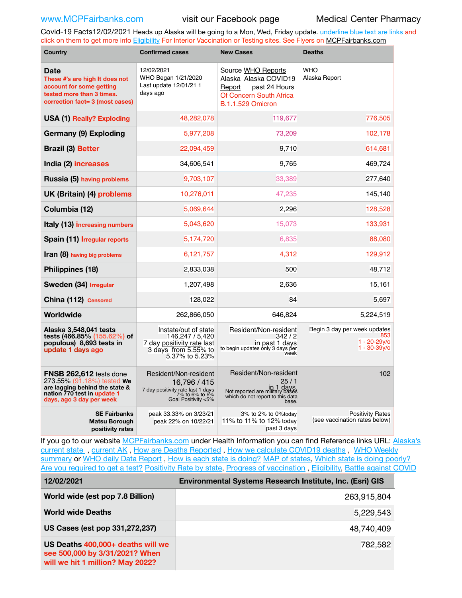Covid-19 Facts12/02/2021 Heads up Alaska will be going to a Mon, Wed, Friday update. underline blue text are links and click on them to get more info [Eligibility](http://dhss.alaska.gov/dph/Epi/id/Pages/COVID-19/VaccineAvailability.aspx) For Interior Vaccination or Testing sites. See Flyers on [MCPFairbanks.com](http://www.MCPFairbanks.com)

| <b>Country</b>                                                                                                                                     | <b>Confirmed cases</b>                                                                                              | <b>New Cases</b>                                                                                                              | <b>Deaths</b>                                                           |  |
|----------------------------------------------------------------------------------------------------------------------------------------------------|---------------------------------------------------------------------------------------------------------------------|-------------------------------------------------------------------------------------------------------------------------------|-------------------------------------------------------------------------|--|
| Date<br>These #'s are high It does not<br>account for some getting<br>tested more than 3 times.<br>correction fact= 3 (most cases)                 | 12/02/2021<br>WHO Began 1/21/2020<br>Last update 12/01/21 1<br>days ago                                             | Source WHO Reports<br>Alaska Alaska COVID19<br>past 24 Hours<br>Report<br>Of Concern South Africa<br><b>B.1.1.529 Omicron</b> | <b>WHO</b><br>Alaska Report                                             |  |
| <b>USA (1) Really? Exploding</b>                                                                                                                   | 48,282,078                                                                                                          | 119,677<br>776,505                                                                                                            |                                                                         |  |
| Germany (9) Exploding                                                                                                                              | 5,977,208                                                                                                           | 73,209                                                                                                                        | 102,178                                                                 |  |
| <b>Brazil (3) Better</b>                                                                                                                           | 22,094,459                                                                                                          | 9,710                                                                                                                         | 614,681                                                                 |  |
| India (2) increases                                                                                                                                | 34,606,541                                                                                                          | 9,765                                                                                                                         | 469,724                                                                 |  |
| Russia (5) having problems                                                                                                                         | 9,703,107                                                                                                           | 33,389                                                                                                                        | 277,640                                                                 |  |
| UK (Britain) (4) problems                                                                                                                          | 10,276,011                                                                                                          | 47,235                                                                                                                        | 145,140                                                                 |  |
| Columbia (12)                                                                                                                                      | 5,069,644                                                                                                           | 2,296                                                                                                                         | 128,528                                                                 |  |
| Italy (13) increasing numbers                                                                                                                      | 5,043,620                                                                                                           | 15,073                                                                                                                        | 133,931                                                                 |  |
| Spain (11) <i>Irregular reports</i>                                                                                                                | 5,174,720                                                                                                           | 6,835                                                                                                                         | 88,080                                                                  |  |
| <b>Iran (8)</b> having big problems                                                                                                                | 6,121,757                                                                                                           | 4,312                                                                                                                         | 129,912                                                                 |  |
| Philippines (18)                                                                                                                                   | 2,833,038                                                                                                           | 500                                                                                                                           | 48,712                                                                  |  |
| Sweden (34) Irregular                                                                                                                              | 1,207,498                                                                                                           | 2,636                                                                                                                         | 15,161                                                                  |  |
| China (112) Censored                                                                                                                               | 128,022                                                                                                             | 84                                                                                                                            | 5,697                                                                   |  |
| Worldwide                                                                                                                                          | 262,866,050                                                                                                         | 646.824                                                                                                                       | 5,224,519                                                               |  |
| Alaska 3,548,041 tests<br>tests (466.85% (155.62%) of<br>populous) 8,693 tests in<br>update 1 days ago                                             | Instate/out of state<br>146.247 / 5.420<br>7 day positivity rate last<br>3 days from 5.55% to<br>5.37% to 5.23%     | Resident/Non-resident<br>342/2<br>in past 1 days<br>to begin updates only 3 days per<br>week                                  | Begin 3 day per week updates<br>853<br>1 - 20-29y/o<br>$1 - 30 - 39y$ o |  |
| FNSB 262,612 tests done<br>273.55% (91.18%) tested We<br>are lagging behind the state &<br>nation 770 test in update 1<br>days, ago 3 day per week | Resident/Non-resident<br>16,796 / 415<br>7 day positivity rate last 1 days<br>7% to 6% to 6%<br>Goal Positivity <5% |                                                                                                                               | 102                                                                     |  |
| <b>SE Fairbanks</b><br><b>Matsu Borough</b><br>positivity rates                                                                                    | peak 33.33% on 3/23/21<br>peak 22% on 10/22/21                                                                      | 3% to 2% to 0%today<br>11% to 11% to 12% today<br>past 3 days                                                                 | <b>Positivity Rates</b><br>(see vaccination rates below)                |  |

If you go to our website [MCPFairbanks.com](http://www.MCPFairbanks.com) under Health Information you can find Reference links URL: Alaska's [current state](https://coronavirus-response-alaska-dhss.hub.arcgis.com) , [current AK](http://dhss.alaska.gov/dph/Epi/id/Pages/COVID-19/communications.aspx#cases) , [How are Deaths Reported](http://dhss.alaska.gov/dph/Epi/id/Pages/COVID-19/deathcounts.aspx) , [How we calculate COVID19 deaths](https://coronavirus-response-alaska-dhss.hub.arcgis.com/search?collection=Document&groupIds=41ccb3344ebc4bd682c74073eba21f42) , [WHO Weekly](http://www.who.int)  [summary](http://www.who.int) or [WHO daily Data Report](https://covid19.who.int/table), [How is each state is doing?](https://www.msn.com/en-us/news/us/state-by-state-coronavirus-news/ar-BB13E1PX?fbclid=IwAR0_OBJH7lSyTN3ug_MsOeFnNgB1orTa9OBgilKJ7dhnwlVvHEsptuKkj1c) [MAP of states,](https://www.nationalgeographic.com/science/graphics/graphic-tracking-coronavirus-infections-us?cmpid=org=ngp::mc=crm-email::src=ngp::cmp=editorial::add=SpecialEdition_20210305&rid=B9A6DF5992658E8E35CE023113CFEA4C) [Which state is doing poorly?](https://bestlifeonline.com/covid-outbreak-your-state/?utm_source=nsltr&utm_medium=email&utm_content=covid-outbreak-your-state&utm_campaign=launch) [Are you required to get a test?](http://dhss.alaska.gov/dph/Epi/id/SiteAssets/Pages/HumanCoV/Whattodoafteryourtest.pdf) [Positivity Rate by state](https://coronavirus.jhu.edu/testing/individual-states/alaska), Progress of vaccination, [Eligibility,](http://dhss.alaska.gov/dph/Epi/id/Pages/COVID-19/VaccineAvailability.aspx) [Battle against COVID](https://www.nationalgeographic.com/science/graphics/graphic-tracking-coronavirus-infections-us?cmpid=org=ngp::mc=crm-email::src=ngp::cmp=editorial::add=SpecialEdition_20210219&rid=B9A6DF5992658E8E35CE023113CFEA4C)

| 12/02/2021                                                                                              | Environmental Systems Research Institute, Inc. (Esri) GIS |
|---------------------------------------------------------------------------------------------------------|-----------------------------------------------------------|
| World wide (est pop 7.8 Billion)                                                                        | 263,915,804                                               |
| <b>World wide Deaths</b>                                                                                | 5,229,543                                                 |
| US Cases (est pop 331,272,237)                                                                          | 48,740,409                                                |
| US Deaths 400,000+ deaths will we<br>see 500,000 by 3/31/2021? When<br>will we hit 1 million? May 2022? | 782,582                                                   |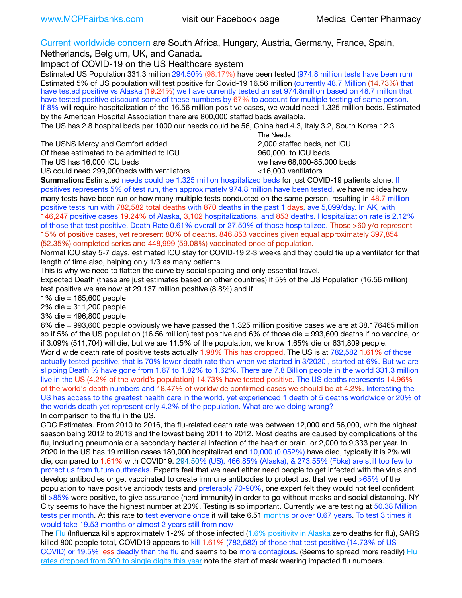Current worldwide concern are South Africa, Hungary, Austria, Germany, France, Spain,

Netherlands, Belgium, UK, and Canada.

Impact of COVID-19 on the US Healthcare system

Estimated US Population 331.3 million 294.50% (98.17%) have been tested (974.8 million tests have been run) Estimated 5% of US population will test positive for Covid-19 16.56 million (currently 48.7 Million (14.73%) that have tested positive vs Alaska (19.24%) we have currently tested an set 974.8million based on 48.7 millon that have tested positive discount some of these numbers by 67% to account for multiple testing of same person. If 8% will require hospitalization of the 16.56 million positive cases, we would need 1.325 million beds. Estimated by the American Hospital Association there are 800,000 staffed beds available.

The US has 2.8 hospital beds per 1000 our needs could be 56, China had 4.3, Italy 3.2, South Korea 12.3

The USNS Mercy and Comfort added 2,000 staffed beds, not ICU Of these estimated to be admitted to ICU 860,000. to ICU beds The US has 16,000 ICU beds we have 68,000-85,000 beds ve have 68,000-85,000 beds

 The Needs US could need 299,000 beds with ventilators  $\leq 16,000$  ventilators

**Summation:** Estimated needs could be 1.325 million hospitalized beds for just COVID-19 patients alone. If positives represents 5% of test run, then approximately 974.8 million have been tested, we have no idea how many tests have been run or how many multiple tests conducted on the same person, resulting in 48.7 million positive tests run with 782,582 total deaths with 870 deaths in the past 1 days, ave 5,099/day. In AK, with 146,247 positive cases 19.24% of Alaska, 3,102 hospitalizations, and 853 deaths. Hospitalization rate is 2.12% of those that test positive, Death Rate 0.61% overall or 27.50% of those hospitalized. Those >60 y/o represent 15% of positive cases, yet represent 80% of deaths. 846,853 vaccines given equal approximately 397,854 (52.35%) completed series and 448,999 (59.08%) vaccinated once of population.

Normal ICU stay 5-7 days, estimated ICU stay for COVID-19 2-3 weeks and they could tie up a ventilator for that length of time also, helping only 1/3 as many patients.

This is why we need to flatten the curve by social spacing and only essential travel.

Expected Death (these are just estimates based on other countries) if 5% of the US Population (16.56 million) test positive we are now at 29.137 million positive (8.8%) and if

1% die = 165,600 people

2% die = 311,200 people

3% die = 496,800 people

6% die = 993,600 people obviously we have passed the 1.325 million positive cases we are at 38.176465 million so if 5% of the US population (16.56 million) test positive and 6% of those die = 993,600 deaths if no vaccine, or if 3.09% (511,704) will die, but we are 11.5% of the population, we know 1.65% die or 631,809 people. World wide death rate of positive tests actually 1.98% This has dropped. The US is at 782,582 1.61% of those actually tested positive, that is 70% lower death rate than when we started in 3/2020 , started at 6%. But we are slipping Death % have gone from 1.67 to 1.82% to 1.62%. There are 7.8 Billion people in the world 331.3 million live in the US (4.2% of the world's population) 14.73% have tested positive. The US deaths represents 14.96% of the world's death numbers and 18.47% of worldwide confirmed cases we should be at 4.2%. Interesting the US has access to the greatest health care in the world, yet experienced 1 death of 5 deaths worldwide or 20% of the worlds death yet represent only 4.2% of the population. What are we doing wrong? In comparison to the flu in the US.

CDC Estimates. From 2010 to 2016, the flu-related death rate was between 12,000 and 56,000, with the highest season being 2012 to 2013 and the lowest being 2011 to 2012. Most deaths are caused by complications of the flu, including pneumonia or a secondary bacterial infection of the heart or brain. or 2,000 to 9,333 per year. In 2020 in the US has 19 million cases 180,000 hospitalized and 10,000 (0.052%) have died, typically it is 2% will die, compared to 1.61% with COVID19. 294.50% (US), 466.85% (Alaska), & 273.55% (Fbks) are still too few to protect us from future outbreaks. Experts feel that we need either need people to get infected with the virus and develop antibodies or get vaccinated to create immune antibodies to protect us, that we need >65% of the population to have positive antibody tests and preferably 70-90%, one expert felt they would not feel confident til >85% were positive, to give assurance (herd immunity) in order to go without masks and social distancing. NY City seems to have the highest number at 20%. Testing is so important. Currently we are testing at 50.38 Million tests per month. At this rate to test everyone once it will take 6.51 months or over 0.67 years. To test 3 times it would take 19.53 months or almost 2 years still from now

The [Flu](https://lnks.gd/l/eyJhbGciOiJIUzI1NiJ9.eyJidWxsZXRpbl9saW5rX2lkIjoxMDMsInVyaSI6ImJwMjpjbGljayIsImJ1bGxldGluX2lkIjoiMjAyMTAyMjYuMzYwNDA3NTEiLCJ1cmwiOiJodHRwczovL3d3dy5jZGMuZ292L2ZsdS93ZWVrbHkvb3ZlcnZpZXcuaHRtIn0.ePMA_hsZ-pTnhWSyg1gHvHWYTu2XceVOt0JejxvP1WE/s/500544915/br/98428119752-l) (Influenza kills approximately 1-2% of those infected ([1.6% positivity in Alaska](http://dhss.alaska.gov/dph/Epi/id/SiteAssets/Pages/influenza/trends/Snapshot.pdf) zero deaths for flu), SARS killed 800 people total, COVID19 appears to kill 1.61% (782,582) of those that test positive (14.73% of US COVID) or 19.5% less deadly than the flu and seems to be more contagious. (Seems to spread more readily) [Flu](https://lnks.gd/l/eyJhbGciOiJIUzI1NiJ9.eyJidWxsZXRpbl9saW5rX2lkIjoxMDEsInVyaSI6ImJwMjpjbGljayIsImJ1bGxldGluX2lkIjoiMjAyMTAyMjYuMzYwNDA3NTEiLCJ1cmwiOiJodHRwOi8vZGhzcy5hbGFza2EuZ292L2RwaC9FcGkvaWQvUGFnZXMvaW5mbHVlbnphL2ZsdWluZm8uYXNweCJ9.oOe3nt2fww6XpsNhb4FZfmtPfPa-irGaldpkURBJhSo/s/500544915/br/98428119752-l)  [rates dropped from 300 to single digits this year](https://lnks.gd/l/eyJhbGciOiJIUzI1NiJ9.eyJidWxsZXRpbl9saW5rX2lkIjoxMDEsInVyaSI6ImJwMjpjbGljayIsImJ1bGxldGluX2lkIjoiMjAyMTAyMjYuMzYwNDA3NTEiLCJ1cmwiOiJodHRwOi8vZGhzcy5hbGFza2EuZ292L2RwaC9FcGkvaWQvUGFnZXMvaW5mbHVlbnphL2ZsdWluZm8uYXNweCJ9.oOe3nt2fww6XpsNhb4FZfmtPfPa-irGaldpkURBJhSo/s/500544915/br/98428119752-l) note the start of mask wearing impacted flu numbers.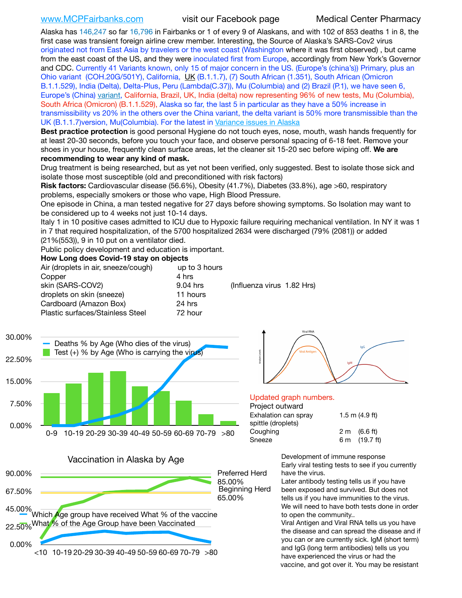Alaska has 146,247 so far 16,796 in Fairbanks or 1 of every 9 of Alaskans, and with 102 of 853 deaths 1 in 8, the first case was transient foreign airline crew member. Interesting, the Source of Alaska's SARS-Cov2 virus originated not from East Asia by travelers or the west coast (Washington where it was first observed) , but came from the east coast of the US, and they were inoculated first from Europe, accordingly from New York's Governor and CDC. Currently 41 Variants known, only 15 of major concern in the US. (Europe's (china's)) Primary, plus an Ohio variant (COH.20G/501Y), California, [UK](https://www.cdc.gov/coronavirus/2019-ncov/transmission/variant-cases.html) (B.1.1.7), (7) South African (1.351), South African (Omicron B.1.1.529), India (Delta), Delta-Plus, Peru (Lambda(C.37)), Mu (Columbia) and (2) Brazil (P.1), we have seen 6, Europe's (China) [variant,](https://www.webmd.com/lung/news/20210318/cdc-who-create-threat-levels-for-covid-variants?ecd=wnl_cvd_031921&ctr=wnl-cvd-031921&mb=kYbf7DsHb7YGjh/1RUkcAW0T6iorImAU1TDZh18RYs0=_Support_titleLink_2) California, Brazil, UK, India (delta) now representing 96% of new tests, Mu (Columbia), South Africa (Omicron) (B.1.1.529), Alaska so far, the last 5 in particular as they have a 50% increase in transmissibility vs 20% in the others over the China variant, the delta variant is 50% more transmissible than the UK (B.1.1.7)version, Mu(Columbia). For the latest in [Variance issues in Alaska](https://akvariants.github.io)

**Best practice protection** is good personal Hygiene do not touch eyes, nose, mouth, wash hands frequently for at least 20-30 seconds, before you touch your face, and observe personal spacing of 6-18 feet. Remove your shoes in your house, frequently clean surface areas, let the cleaner sit 15-20 sec before wiping off. **We are recommending to wear any kind of mask.**

Drug treatment is being researched, but as yet not been verified, only suggested. Best to isolate those sick and isolate those most susceptible (old and preconditioned with risk factors)

**Risk factors:** Cardiovascular disease (56.6%), Obesity (41.7%), Diabetes (33.8%), age >60, respiratory problems, especially smokers or those who vape, High Blood Pressure.

One episode in China, a man tested negative for 27 days before showing symptoms. So Isolation may want to be considered up to 4 weeks not just 10-14 days.

Italy 1 in 10 positive cases admitted to ICU due to Hypoxic failure requiring mechanical ventilation. In NY it was 1 in 7 that required hospitalization, of the 5700 hospitalized 2634 were discharged (79% (2081)) or added (21%(553)), 9 in 10 put on a ventilator died.

Public policy development and education is important.

## **How Long does Covid-19 stay on objects**

| Air (droplets in air, sneeze/cough)     | up to 3 hours |                            |  |
|-----------------------------------------|---------------|----------------------------|--|
| Copper                                  | 4 hrs         |                            |  |
| skin (SARS-COV2)                        | 9.04 hrs      | (Influenza virus 1.82 Hrs) |  |
| droplets on skin (sneeze)               | 11 hours      |                            |  |
| Cardboard (Amazon Box)                  | 24 hrs        |                            |  |
| <b>Plastic surfaces/Stainless Steel</b> | 72 hour       |                            |  |



Vaccination in Alaska by Age





### Updated graph numbers.

### Project outward Exhalation can spray 1.5 m (4.9 ft) spitt

|                    | . |                         |  |
|--------------------|---|-------------------------|--|
| spittle (droplets) |   |                         |  |
| Coughing           |   | $2 \text{ m}$ (6.6 ft)  |  |
| Sneeze             |   | 6 m $(19.7 \text{ ft})$ |  |
|                    |   |                         |  |

Development of immune response Early viral testing tests to see if you currently have the virus.

Later antibody testing tells us if you have been exposed and survived. But does not tells us if you have immunities to the virus. We will need to have both tests done in order to open the community..

Viral Antigen and Viral RNA tells us you have the disease and can spread the disease and if you can or are currently sick. IgM (short term) and IgG (long term antibodies) tells us you have experienced the virus or had the vaccine, and got over it. You may be resistant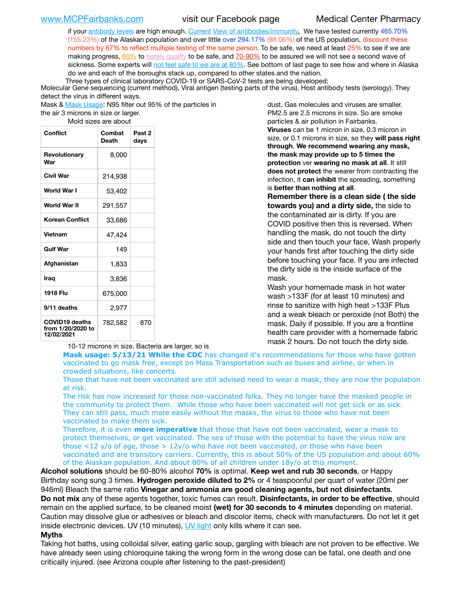if your [antibody levels](https://www.cdc.gov/coronavirus/2019-ncov/lab/resources/antibody-tests.html) are high enough. [Current](https://l.facebook.com/l.php?u=https://www.itv.com/news/2020-10-26/covid-19-antibody-levels-reduce-over-time-study-finds?fbclid=IwAR3Dapzh1qIH1EIOdUQI2y8THf7jfA4KBCaJz8Qg-8xe1YsrR4nsAHDIXSY&h=AT30nut8pkqp0heVuz5W2rT2WFFm-2Ab52BsJxZZCNlGsX58IpPkuVEPULbIUV_M16MAukx1Kwb657DPXxsgDN1rpOQ4gqBtQsmVYiWpnHPJo2RQsU6CPMd14lgLnQnFWxfVi6zvmw&__tn__=-UK-R&c%5B0%5D=AT1GaRAfR_nGAyqcn7TI1-PpvqOqEKXHnz6TDWvRStMnOSH7boQDvTiwTOc6VId9UES6LKiOmm2m88wKCoolkJyOFvakt2Z1Mw8toYWGGoWW23r0MNVBl7cYJXB_UOvGklNHaNnaNr1_S7NhT3BSykNOBg) [View of antibodies/immunity](https://www.livescience.com/antibodies.html)[.](https://www.itv.com/news/2020-10-26/covid-19-antibody-levels-reduce-over-time-study-finds) We have tested currently 465.70% (155.23%) of the Alaskan population and over little over 294.17% (98.06%) of the US population, discount these numbers by 67% to reflect multiple testing of the same person. To be safe, we need at least 25% to see if we are making progress, [60%](https://www.jhsph.edu/covid-19/articles/achieving-herd-immunity-with-covid19.html) to [barely qualify](https://www.nature.com/articles/d41586-020-02948-4) to be safe, and [70-90%](https://www.mayoclinic.org/herd-immunity-and-coronavirus/art-20486808) to be assured we will not see a second wave of sickness. Some experts will [not feel safe til we are at 85%](https://www.bannerhealth.com/healthcareblog/teach-me/what-is-herd-immunity). See bottom of last page to see how and where in Alaska do we and each of the boroughs stack up, compared to other states and the nation.

Three types of clinical laboratory COVID-19 or SARS-CoV-2 tests are being developed:

Molecular Gene sequencing (current method), Viral antigen (testing parts of the virus), Host antibody tests (serology). They detect the virus in different ways.

Mask & [Mask Usage:](https://www.nationalgeographic.com/history/2020/03/how-cities-flattened-curve-1918-spanish-flu-pandemic-coronavirus/) N95 filter out 95% of the particles in

the air 3 microns in size or larger. Mold sizes are about

| <b>Conflict</b>                                          | Combat<br><b>Death</b> | Past <sub>2</sub><br>days |
|----------------------------------------------------------|------------------------|---------------------------|
| Revolutionary<br>War                                     | 8,000                  |                           |
| Civil War                                                | 214,938                |                           |
| World War I                                              | 53,402                 |                           |
| <b>World War II</b>                                      | 291,557                |                           |
| Korean Conflict                                          | 33,686                 |                           |
| <b>Vietnam</b>                                           | 47,424                 |                           |
| <b>Gulf War</b>                                          | 149                    |                           |
| Afghanistan                                              | 1,833                  |                           |
| Iraq                                                     | 3,836                  |                           |
| 1918 Flu                                                 | 675,000                |                           |
| 9/11 deaths                                              | 2,977                  |                           |
| <b>COVID19 deaths</b><br>from 1/20/2020 to<br>12/02/2021 | 782,582                | 870                       |

10-12 microns in size. Bacteria are larger, so is

dust, Gas molecules and viruses are smaller. PM2.5 are 2.5 microns in size. So are smoke particles & air pollution in Fairbanks. **Viruses** can be 1 micron in size, 0.3 micron in size, or 0.1 microns in size, so they **will pass right through**. **We recommend wearing any mask, the mask may provide up to 5 times the protection** ver **wearing no mask at all**. It still **does not protect** the wearer from contracting the infection, it **can inhibit** the spreading, something is **better than nothing at all**.

**Remember there is a clean side ( the side towards you) and a dirty side,** the side to the contaminated air is dirty. If you are COVID positive then this is reversed. When handling the mask, do not touch the dirty side and then touch your face, Wash properly your hands first after touching the dirty side before touching your face. If you are infected the dirty side is the inside surface of the mask.

Wash your homemade mask in hot water wash >133F (for at least 10 minutes) and rinse to sanitize with high heat >133F Plus and a weak bleach or peroxide (not Both) the mask. Daily if possible. If you are a frontline health care provider with a homemade fabric mask 2 hours. Do not touch the dirty side.

**Mask usage: 5/13/21 While the CDC** has changed it's recommendations for those who have gotten vaccinated to go mask free, except on Mass Transportation such as buses and airline, or when in crowded situations, like concerts.

Those that have not been vaccinated are still advised need to wear a mask, they are now the population at risk.

The risk has now increased for those non-vaccinated folks. They no longer have the masked people in the community to protect them. While those who have been vaccinated will not get sick or as sick. They can still pass, much more easily without the masks, the virus to those who have not been vaccinated to make them sick.

Therefore, it is even **more imperative** that those that have not been vaccinated, wear a mask to protect themselves, or get vaccinated. The sea of those with the potential to have the virus now are those <12 y/o of age, those >  $12y$ /o who have not been vaccinated, or those who have been vaccinated and are transitory carriers. Currently, this is about 50% of the US population and about 60% of the Alaskan population. And about 80% of all children under 18y/o at this moment.

**Alcohol solutions** should be 60-80% alcohol **70%** is optimal. **Keep wet and rub 30 seconds**, or Happy Birthday song sung 3 times. **Hydrogen peroxide diluted to 2%** or 4 teaspoonful per quart of water (20ml per 946ml) Bleach the same ratio **Vinegar and ammonia are good cleaning agents, but not disinfectants**. **Do not mix** any of these agents together, toxic fumes can result. **Disinfectants, in order to be effective**, should remain on the applied surface, to be cleaned moist **(wet) for 30 seconds to 4 minutes** depending on material. Caution may dissolve glue or adhesives or bleach and discolor items, check with manufacturers. Do not let it get inside electronic devices. UV (10 minutes), [UV light](http://www.docreviews.me/best-uv-boxes-2020/?fbclid=IwAR3bvFtXB48OoBBSvYvTEnKuHNPbipxM6jUo82QUSw9wckxjC7wwRZWabGw) only kills where it can see.

## **Myths**

Taking hot baths, using colloidal silver, eating garlic soup, gargling with bleach are not proven to be effective. We have already seen using chloroquine taking the wrong form in the wrong dose can be fatal, one death and one critically injured. (see Arizona couple after listening to the past-president)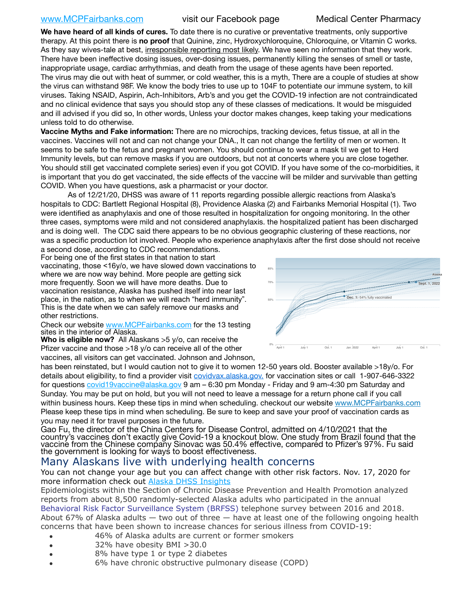## [www.MCPFairbanks.com](http://www.MCPFairbanks.com) visit our Facebook page Medical Center Pharmacy

**We have heard of all kinds of cures.** To date there is no curative or preventative treatments, only supportive therapy. At this point there is **no proof** that Quinine, zinc, Hydroxychloroquine, Chloroquine, or Vitamin C works. As they say wives-tale at best, irresponsible reporting most likely. We have seen no information that they work. There have been ineffective dosing issues, over-dosing issues, permanently killing the senses of smell or taste, inappropriate usage, cardiac arrhythmias, and death from the usage of these agents have been reported. The virus may die out with heat of summer, or cold weather, this is a myth, There are a couple of studies at show the virus can withstand 98F. We know the body tries to use up to 104F to potentiate our immune system, to kill viruses. Taking NSAID, Aspirin, Ach-Inhibitors, Arb's and you get the COVID-19 infection are not contraindicated and no clinical evidence that says you should stop any of these classes of medications. It would be misguided and ill advised if you did so, In other words, Unless your doctor makes changes, keep taking your medications unless told to do otherwise.

**Vaccine Myths and Fake information:** There are no microchips, tracking devices, fetus tissue, at all in the vaccines. Vaccines will not and can not change your DNA., It can not change the fertility of men or women. It seems to be safe to the fetus and pregnant women. You should continue to wear a mask til we get to Herd Immunity levels, but can remove masks if you are outdoors, but not at concerts where you are close together. You should still get vaccinated complete series) even if you got COVID. If you have some of the co-morbidities, it is important that you do get vaccinated, the side effects of the vaccine will be milder and survivable than getting COVID. When you have questions, ask a pharmacist or your doctor.

As of 12/21/20, DHSS was aware of 11 reports regarding possible allergic reactions from Alaska's hospitals to CDC: Bartlett Regional Hospital (8), Providence Alaska (2) and Fairbanks Memorial Hospital (1). Two were identified as anaphylaxis and one of those resulted in hospitalization for ongoing monitoring. In the other three cases, symptoms were mild and not considered anaphylaxis. the hospitalized patient has been discharged and is doing well. The CDC said there appears to be no obvious geographic clustering of these reactions, nor was a specific production lot involved. People who experience anaphylaxis after the first dose should not receive a second dose, according to CDC recommendations.

For being one of the first states in that nation to start

vaccinating, those <16y/o, we have slowed down vaccinations to where we are now way behind. More people are getting sick more frequently. Soon we will have more deaths. Due to vaccination resistance, Alaska has pushed itself into near last place, in the nation, as to when we will reach "herd immunity". This is the date when we can safely remove our masks and other restrictions.

Check our website [www.MCPFairbanks.com](http://www.MCPFairbanks.com) for the 13 testing sites in the interior of Alaska.

**Who is eligible now?** All Alaskans >5 y/o, can receive the Pfizer vaccine and those >18 y/o can receive all of the other vaccines, all visitors can get vaccinated. Johnson and Johnson,

has been reinstated, but I would caution not to give it to women 12-50 years old. Booster available >18y/o. For details about eligibility, to find a provider visit [covidvax.alaska.gov.](https://lnks.gd/l/eyJhbGciOiJIUzI1NiJ9.eyJidWxsZXRpbl9saW5rX2lkIjoxMDYsInVyaSI6ImJwMjpjbGljayIsImJ1bGxldGluX2lkIjoiMjAyMTAxMjguMzQwODU3NjEiLCJ1cmwiOiJodHRwOi8vZGhzcy5hbGFza2EuZ292L2RwaC9FcGkvaWQvUGFnZXMvQ09WSUQtMTkvdmFjY2luZS5hc3B4In0.-Xwhl42jAWOMS7ewfS85uxwrwjohCso3Sb81DuDKtxU/s/500544915/br/93796640171-l) for vaccination sites or call 1-907-646-3322 for questions [covid19vaccine@alaska.gov](mailto:covid19vaccine@alaska.gov?subject=COVID19%20Vaccine%20questions) 9 am – 6:30 pm Monday - Friday and 9 am-4:30 pm Saturday and Sunday. You may be put on hold, but you will not need to leave a message for a return phone call if you call within business hours. Keep these tips in mind when scheduling. checkout our website [www.MCPFairbanks.com](http://www.MCPFairbanks.com) Please keep these tips in mind when scheduling. Be sure to keep and save your proof of vaccination cards as you may need it for travel purposes in the future.

Gao Fu, the director of the China Centers for Disease Control, admitted on 4/10/2021 that the country's vaccines don't exactly give Covid-19 a knockout blow. One study from Brazil found that the vaccine from the Chinese company Sinovac was 50.4% effective, compared to Pfizer's 97%. Fu said the government is looking for ways to boost effectiveness.

# Many Alaskans live with underlying health concerns

You can not change your age but you can affect change with other risk factors. Nov. 17, 2020 for more information check out **[Alaska DHSS Insights](http://dhss.alaska.gov/dph/Epi/id/Pages/COVID-19/blog/20201117.aspx)** 

Epidemiologists within the Section of Chronic Disease Prevention and Health Promotion analyzed reports from about 8,500 randomly-selected Alaska adults who participated in the annual [Behavioral Risk Factor Surveillance System \(BRFSS\)](http://dhss.alaska.gov/dph/Chronic/Pages/brfss/default.aspx) telephone survey between 2016 and 2018. About 67% of Alaska adults  $-$  two out of three  $-$  have at least one of the following ongoing health concerns that have been shown to increase chances for serious illness from COVID-19:

- 46% of Alaska adults are current or former smokers
- 32% have obesity BMI >30.0
- 8% have type 1 or type 2 diabetes
- 6% have chronic obstructive pulmonary disease (COPD)